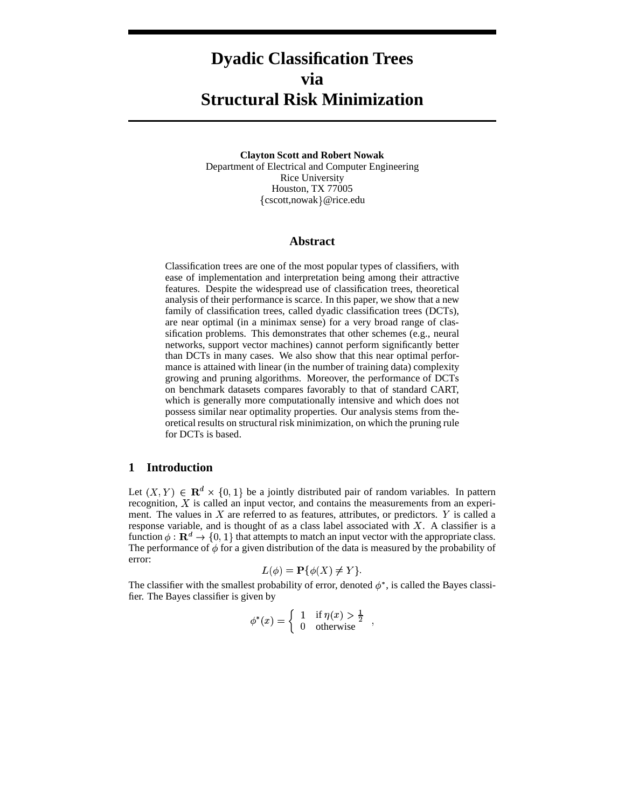# **Dyadic Classification Trees via Structural Risk Minimization**

**Clayton Scott and Robert Nowak** Department of Electrical and Computer Engineering Rice University Houston, TX 77005 {cscott,nowak}@rice.edu

## **Abstract**

Classification trees are one of the most popular types of classifiers, with ease of implementation and interpretation being among their attractive features. Despite the widespread use of classification trees, theoretical analysis of their performance is scarce. In this paper, we show that a new family of classification trees, called dyadic classification trees (DCTs), are near optimal (in a minimax sense) for a very broad range of classification problems. This demonstrates that other schemes (e.g., neural networks, support vector machines) cannot perform significantly better than DCTs in many cases. We also show that this near optimal performance is attained with linear (in the number of training data) complexity growing and pruning algorithms. Moreover, the performance of DCTs on benchmark datasets compares favorably to that of standard CART, which is generally more computationally intensive and which does not possess similar near optimality properties. Our analysis stems from theoretical results on structural risk minimization, on which the pruning rule for DCTs is based.

# **1 Introduction**

Let  $(X, Y) \in \mathbb{R}^d \times \{0, 1\}$  be a jointly distributed pair of random variables. In pattern recognition,  $X$  is called an input vector, and contains the measurements from an experiment. The values in  $X$  are referred to as features, attributes, or predictors.  $Y$  is called a response variable, and is thought of as a class label associated with  $X$ . A classifier is a function  $\phi : \mathbf{R}^d \to \{0, 1\}$  that attempts to match an input vector with the appropriate class. The performance of  $\phi$  for a given distribution of the data is measured by the probability of error:

$$
L(\phi) = \mathbf{P}\{\phi(X) \neq Y\}.
$$

The classifier with the smallest probability of error, denoted  $\phi^*$ , is called the Bayes classifier. The Bayes classifier is given by

$$
\phi^*(x) = \begin{cases} 1 & \text{if } \eta(x) > \frac{1}{2} \\ 0 & \text{otherwise} \end{cases}
$$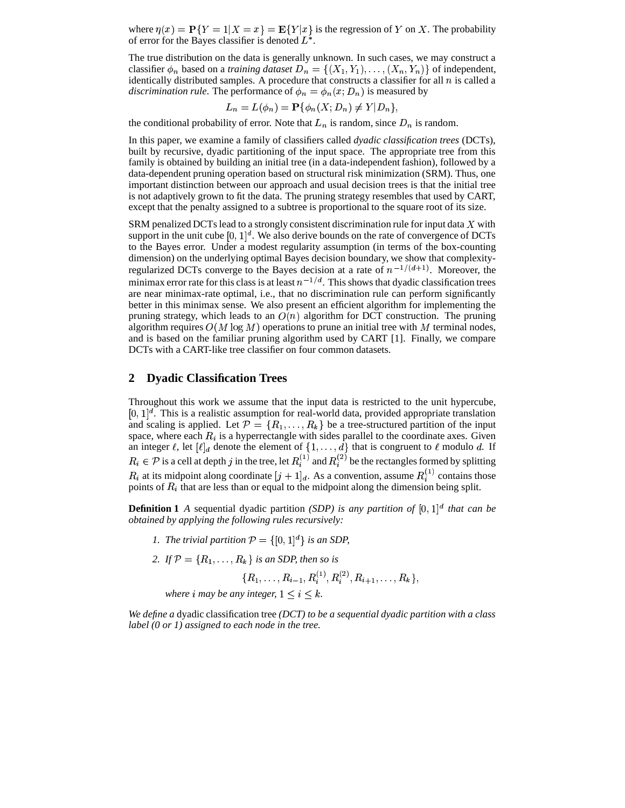where  $\eta(x) = P\{Y = 1 | X = x\} = E\{Y | x\}$  is the regression of Y on X. The probability of error for the Bayes classifier is denoted  $L^*$ .

The true distribution on the data is generally unknown. In such cases, we may construct a classifier  $\phi_n$  based on a *training dataset*  $D_n = \{(X_1, Y_1), \ldots, (X_n, Y_n)\}$  of independent, identically distributed samples. A procedure that constructs a classifier for all  $n$  is called a *discrimination rule*. The performance of  $\phi_n = \phi_n(x; D_n)$  is measured by

$$
L_n = L(\phi_n) = \mathbf{P}\{\phi_n(X; D_n) \neq Y | D_n\},\
$$

the conditional probability of error. Note that  $L_n$  is random, since  $D_n$  is random.

In this paper, we examine a family of classifiers called *dyadic classification trees* (DCTs), built by recursive, dyadic partitioning of the input space. The appropriate tree from this family is obtained by building an initial tree (in a data-independent fashion), followed by a data-dependent pruning operation based on structural risk minimization (SRM). Thus, one important distinction between our approach and usual decision trees is that the initial tree is not adaptively grown to fit the data. The pruning strategy resembles that used by CART, except that the penalty assigned to a subtree is proportional to the square root of its size.

SRM penalized DCTs lead to a strongly consistent discrimination rule for input data  $X$  with support in the unit cube  $[0, 1]^d$ . We also derive bounds on the rate of convergence of DCTs to the Bayes error. Under a modest regularity assumption (in terms of the box-counting dimension) on the underlying optimal Bayes decision boundary, we show that complexityregularized DCTs converge to the Bayes decision at a rate of  $n^{-1/(d+1)}$ . Moreover, the minimax error rate for this class is at least  $n^{-1/d}$ . This shows that dyadic classification trees are near minimax-rate optimal, i.e., that no discrimination rule can perform significantly better in this minimax sense. We also present an efficient algorithm for implementing the pruning strategy, which leads to an  $O(n)$  algorithm for DCT construction. The pruning algorithm requires  $O(M \log M)$  operations to prune an initial tree with M terminal nodes, and is based on the familiar pruning algorithm used by CART [1]. Finally, we compare DCTs with a CART-like tree classifier on four common datasets.

## **2 Dyadic Classification Trees**

Throughout this work we assume that the input data is restricted to the unit hypercube,  $[0, 1]^d$ . This is a realistic assumption for real-world data, provided appropriate translation and scaling is applied. Let  $\mathcal{P} = \{R_1, \ldots, R_k\}$  be a tree-structured partition of the input space, where each  $R_i$  is a hyperrectangle with sides parallel to the coordinate axes. Given an integer  $\ell$ , let  $[\ell]_d$  denote the element of  $\{1, \ldots, d\}$  that is congruent to  $\ell$  modulo  $d$ . If  $R_i \in \mathcal{P}$  is a cell at depth  $j$  in the tree, let  $R_i^{(1)}$  and  $R_i^{(2)}$  be the rectangles formed by splitting  $R_i$  at its midpoint along coordinate  $[j+1]_d$ . As a convention, assume  $R_i^{(1)}$  contains those points of  $R_i$  that are less than or equal to the midpoint along the dimension being split.

**Definition 1** *A* sequential dyadic partition *(SDP)* is any partition of  $[0, 1]^d$  that can be *obtained by applying the following rules recursively:*

- *1. The trivial partition*  $P = \{ [0, 1]^d \}$  *is an SDP,*
- 2. If  $\mathcal{P} = \{R_1, \ldots, R_k\}$  is an SDP, then so is

 $\{R_1,\ldots,R_{i-1},R_{i}^{(1)},R_{i}^{(2)},R_{i+1},\ldots,R_k\},$ where *i* may be any integer,  $1 \leq i \leq k$ .

*We define a* dyadic classification tree *(DCT) to be a sequential dyadic partition with a class label (0 or 1) assigned to each node in the tree.*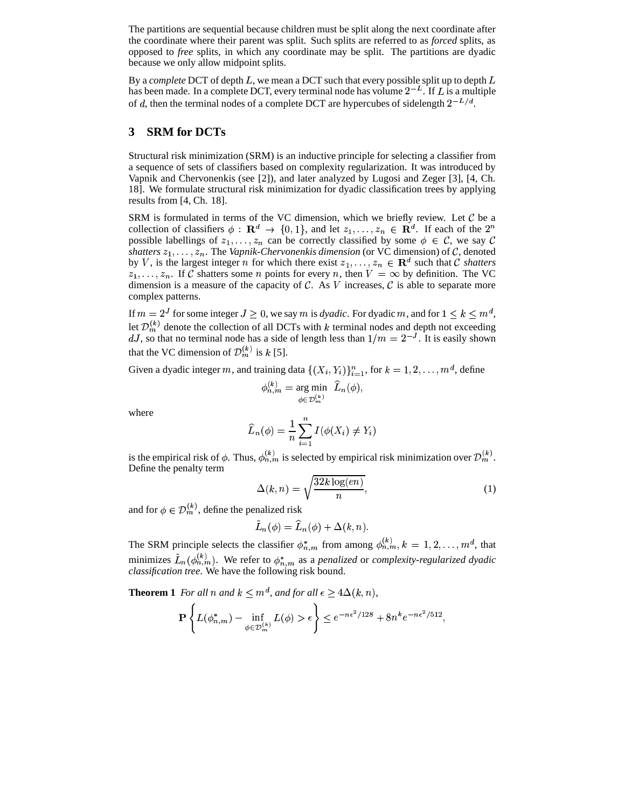The partitions are sequential because children must be split along the next coordinate after the coordinate where their parent was split. Such splits are referred to as *forced* splits, as opposed to *free* splits, in which any coordinate may be split. The partitions are dyadic because we only allow midpoint splits.

By a *complete* DCT of depth  $L$ , we mean a DCT such that every possible split up to depth  $L$ has been made. In a complete DCT, every terminal node has volume  $2^{-L}$ . If L is a multiple of d, then the terminal nodes of a complete DCT are hypercubes of sidelength  $2^{-L/d}$ .  $\frac{d}{d}$ .

# **3 SRM for DCTs**

Structural risk minimization (SRM) is an inductive principle for selecting a classifier from a sequence of sets of classifiers based on complexity regularization. It was introduced by Vapnik and Chervonenkis (see [2]), and later analyzed by Lugosi and Zeger [3], [4, Ch. 18]. We formulate structural risk minimization for dyadic classification trees by applying results from [4, Ch. 18].

SRM is formulated in terms of the VC dimension, which we briefly review. Let  $\mathcal C$  be a collection of classifiers  $\phi : \mathbf{R}^d \to \{0,1\}$ , and let  $z_1,\ldots,z_n \in \mathbf{R}^d$ . If each of the  $2^n$ possible labellings of  $z_1, \ldots, z_n$  can be correctly classified by some  $\phi \in \mathcal{C}$ , we say shatters  $z_1, \ldots, z_n$ . The *Vapnik-Chervonenkis dimension* (or VC dimension) of  $\mathcal{C}$ , denoted by V, is the largest integer *n* for which there exist  $z_1, \ldots, z_n \in \mathbb{R}^d$  such that C shatters  $z_1, \ldots, z_n$ . If C shatters some *n* points for every *n*, then  $V = \infty$  by definition. The VC dimension is a measure of the capacity of C. As V increases, C is able to separate more complex patterns.

If  $m = 2^J$  for some integer  $J \ge 0$ , we say m is *dyadic*. For dyadic m, and for  $1 \le k \le m^d$ , Let  $\mathcal{D}_m^{(k)}$  denote the collection of all DCTs with k terminal nodes and depth not exceeding dJ, so that no terminal node has a side of length less than  $1/m = 2^{-J}$ . It is easily shown that the VC dimension of  $\mathcal{D}_m^{(k)}$  is k [5].

Given a dyadic integer m, and training data  $\{(X_i, Y_i)\}_{i=1}^n$ , for  $k = 1, 2, \ldots, m^d$ , define

$$
\phi_{n,m}^{(k)} = \argmin_{\phi \in \mathcal{D}_m^{(k)}} \ \widehat{L}_n(\phi),
$$

where

$$
\widehat{L}_n(\phi) = \frac{1}{n} \sum_{i=1}^n I(\phi(X_i) \neq Y_i)
$$

is the empirical risk of  $\phi$ . Thus,  $\phi_{n,m}^{(k)}$  is selected by empirical risk minimization over  $\mathcal{D}_m^{(k)}$ . Define the penalty term

$$
\Delta(k,n) = \sqrt{\frac{32k \log(en)}{n}},\tag{1}
$$

and for  $\phi \in \mathcal{D}_m^{(k)}$ , define the penalized risk

$$
\tilde{L}_n(\phi) = \hat{L}_n(\phi) + \Delta(k, n).
$$

The SRM principle selects the classifier  $\phi_{n,m}^*$  from among  $\phi_{n,m}^{(k)}$ ,  $k = 1, 2, \ldots, m^d$ , that minimizes  $\tilde{L}_n(\phi_{n,m}^{(k)})$ . We refer to  $\phi_{n,m}^*$  as a *penalized* or *complexity-regularized dyadic classification tree*. We have the following risk bound.

**Theorem 1** For all n and  $k \leq m^d$ , and for all  $\epsilon \geq 4\Delta(k, n)$ ,

$$
\mathbf{P}\left\{L(\phi_{n,m}^*) - \inf_{\phi \in \mathcal{D}_m^{(k)}} L(\phi) > \epsilon\right\} \le e^{-n\epsilon^2/128} + 8n^k e^{-n\epsilon^2/512},
$$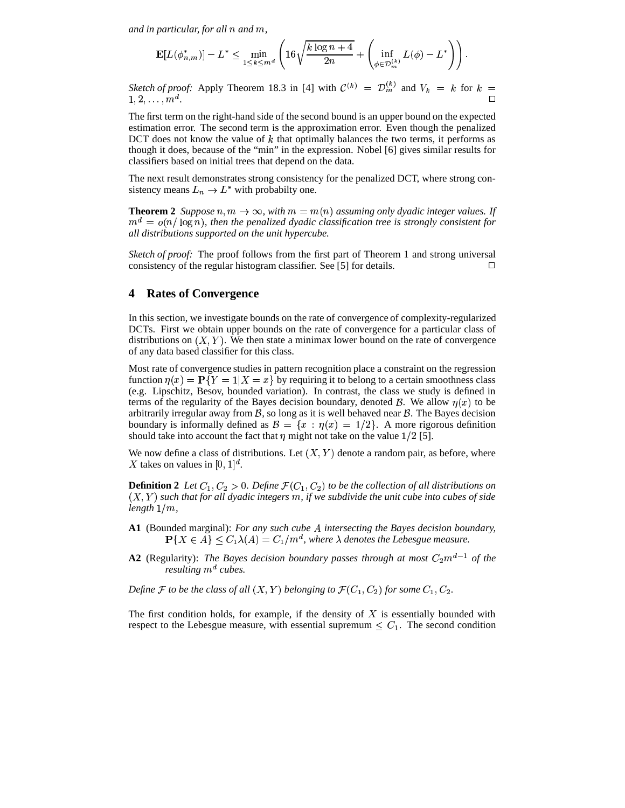and in particular, for all  $n$  and  $m$ ,

$$
\mathbf{E}[L(\phi_{n,m}^*)]-L^*\leq \min_{1\leq k\leq m^d}\left(16\sqrt{\frac{k\log n+4}{2n}}+\left(\inf_{\phi\in\mathcal{D}_m^{(k)}}L(\phi)-L^*\right)\right).
$$

*Sketch of proof:* Apply Theorem 18.3 in [4] with  $\mathcal{C}^{(k)} = \mathcal{D}_m^{(k)}$  and  $V_k = k$  for  $k =$  $1, 2, \ldots, m^d$ .  $\mathbf{A}$ .

The first term on the right-hand side of the second bound is an upper bound on the expected estimation error. The second term is the approximation error. Even though the penalized DCT does not know the value of  $k$  that optimally balances the two terms, it performs as though it does, because of the "min" in the expression. Nobel [6] gives similar results for classifiers based on initial trees that depend on the data.

The next result demonstrates strong consistency for the penalized DCT, where strong con sistency means  $L_n \to L^*$  with probabilty one.

**Theorem 2** *Suppose*  $n, m \to \infty$ , with  $m = m(n)$  assuming only dyadic integer values. If  $m^d = o(n/\log n)$ , then the penalized dyadic classification tree is strongly consistent for *all distributions supported on the unit hypercube.*

*Sketch of proof:* The proof follows from the first part of Theorem 1 and strong universal consistency of the regular histogram classifier. See [5] for details.  $\Box$ 

# **4 Rates of Convergence**

In this section, we investigate bounds on the rate of convergence of complexity-regularized DCTs. First we obtain upper bounds on the rate of convergence for a particular class of distributions on  $(X, Y)$ . We then state a minimax lower bound on the rate of convergence of any data based classifier for this class.

Most rate of convergence studies in pattern recognition place a constraint on the regression function  $\eta(x) = \mathbf{P}\{Y = 1 | X = x\}$  by requiring it to belong to a certain smoothness class (e.g. Lipschitz, Besov, bounded variation). In contrast, the class we study is defined in terms of the regularity of the Bayes decision boundary, denoted  $\mathcal{B}$ . We allow  $\eta(x)$  to be arbitrarily irregular away from  $\beta$ , so long as it is well behaved near  $\beta$ . The Bayes decision boundary is informally defined as  $\mathcal{B} = \{x : \eta(x) = 1/2\}$ . A more rigorous definition should take into account the fact that  $\eta$  might not take on the value  $1/2$  [5].

We now define a class of distributions. Let  $(X, Y)$  denote a random pair, as before, where X takes on values in  $[0, 1]^d$ .

**Definition 2** Let  $C_1, C_2 > 0$ . Define  $\mathcal{F}(C_1, C_2)$  to be the collection of all distributions on  $(X,Y)$  such that for all dyadic integers  $m$ , if we subdivide the unit cube into cubes of side *length ,*

- **A1** (Bounded marginal): *For any such cube intersecting the Bayes decision boundary,*  $P\{X \in A\} \leq C_1 \lambda(A) = C_1/m^d$ , where  $\lambda$  denotes the Lebesgue measure.
- **A2** (Regularity): *The Bayes decision boundary passes through at most*  $C_2 m^{d-1}$  *of the resulting cubes.*

Define F to be the class of all  $(X, Y)$  belonging to  $\mathcal{F}(C_1, C_2)$  for some  $C_1, C_2$ .

The first condition holds, for example, if the density of  $X$  is essentially bounded with respect to the Lebesgue measure, with essential supremum  $\leq C_1$ . The second condition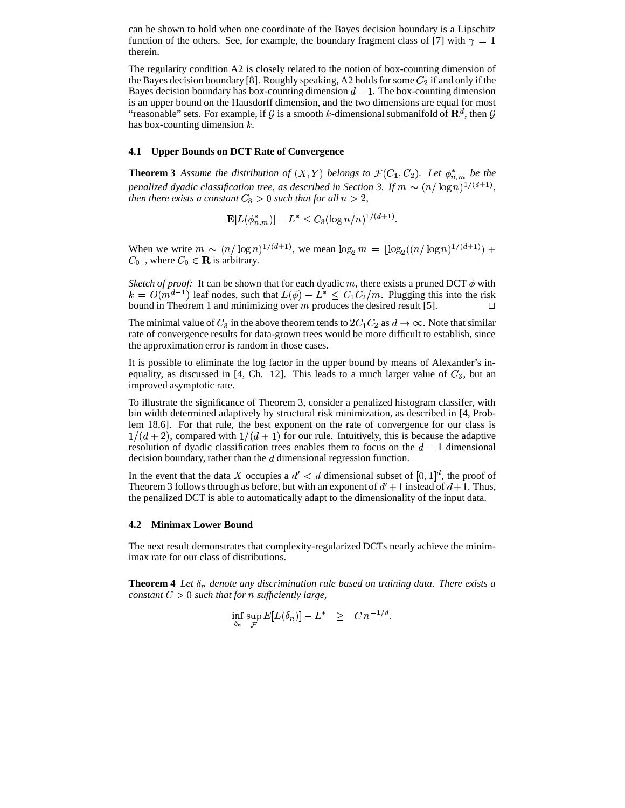can be shown to hold when one coordinate of the Bayes decision boundary is a Lipschitz function of the others. See, for example, the boundary fragment class of [7] with  $\gamma = 1$ therein.

The regularity condition A2 is closely related to the notion of box-counting dimension of the Bayes decision boundary [8]. Roughly speaking, A2 holds for some  $C_2$  if and only if the Bayes decision boundary has box-counting dimension  $d - 1$ . The box-counting dimension is an upper bound on the Hausdorff dimension, and the two dimensions are equal for most "reasonable" sets. For example, if G is a smooth k-dimensional submanifold of  $\mathbb{R}^d$ , then G has box-counting dimension  $k$ .

## **4.1 Upper Bounds on DCT Rate of Convergence**

**Theorem 3** Assume the distribution of  $(X, Y)$  belongs to  $\mathcal{F}(C_1, C_2)$ . Let  $\phi_{n,m}^*$  be the penalized dyadic classification tree, as described in Section 3. If  $m \sim (n/\log n)^{1/(d+1)}$ , *then there exists a constant*  $C_3 > 0$  such that for all  $n > 2$ ,

$$
\mathbf{E}[L(\phi_{n,m}^*)] - L^* \le C_3 (\log n/n)^{1/(d+1)}.
$$

When we write  $m \sim (n/\log n)^{1/(d+1)}$ , we mean  $\log_2 m = \lfloor \log_2((n/\log n)^{1/(d+1)}) +$  $C_0$ , where  $C_0 \in \mathbf{R}$  is arbitrary.

*Sketch of proof:* It can be shown that for each dyadic m, there exists a pruned DCT  $\phi$  with  $k = O(m^{d-1})$  leaf nodes, such that  $L(\phi) - L^* \leq C_1 C_2 / m$ . Plugging this into the risk bound in Theorem 1 and minimizing over m produces the desired result [5].  $\Box$ 

The minimal value of  $C_3$  in the above theorem tends to  $2C_1C_2$  as  $d \rightarrow \infty$ . Note that similar rate of convergence results for data-grown trees would be more difficult to establish, since the approximation error is random in those cases.

It is possible to eliminate the log factor in the upper bound by means of Alexander's inequality, as discussed in [4, Ch. 12]. This leads to a much larger value of  $C_3$ , but an improved asymptotic rate.

To illustrate the significance of Theorem 3, consider a penalized histogram classifer, with bin width determined adaptively by structural risk minimization, as described in [4, Problem 18.6]. For that rule, the best exponent on the rate of convergence for our class is  $1/(d+2)$ , compared with  $1/(d+1)$  for our rule. Intuitively, this is because the adaptive resolution of dyadic classification trees enables them to focus on the  $d-1$  dimensional decision boundary, rather than the  $d$  dimensional regression function.

In the event that the data X occupies a  $d' < d$  dimensional subset of  $[0,1]^d$ , the proof of Theorem 3 follows through as before, but with an exponent of  $d' + 1$  instead of  $d + 1$ . Thus, the penalized DCT is able to automatically adapt to the dimensionality of the input data.

#### **4.2 Minimax Lower Bound**

The next result demonstrates that complexity-regularized DCTs nearly achieve the minimimax rate for our class of distributions.

**Theorem 4** *Let*  $\delta_n$  *denote any discrimination rule based on training data. There exists a*  $constant C > 0$  such that for  $n$  sufficiently large,

$$
\inf_{\delta_n} \sup_{\mathcal{F}} E[L(\delta_n)] - L^* \quad \geq \quad C \, n^{-1/d}.
$$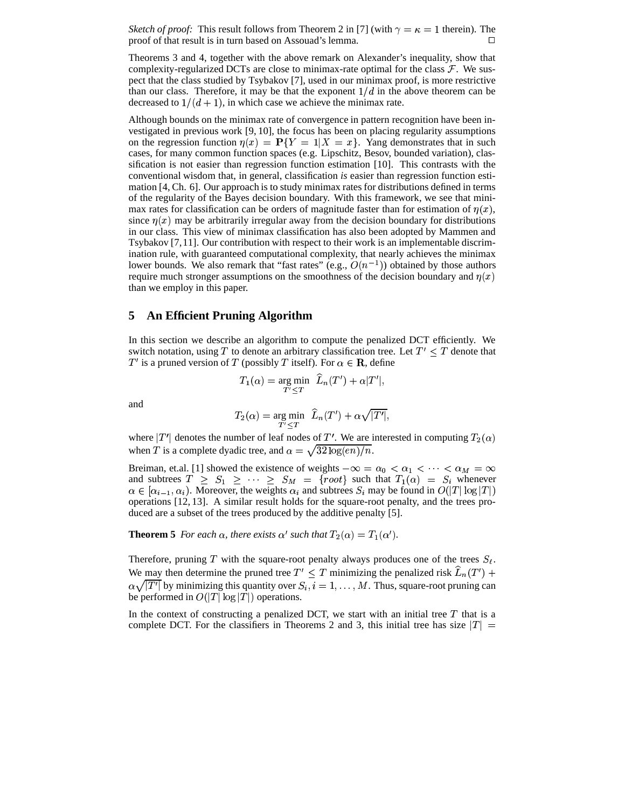*Sketch of proof:* This result follows from Theorem 2 in [7] (with  $\gamma = \kappa = 1$  therein). The proof of that result is in turn based on Assouad's lemma.

Theorems 3 and 4, together with the above remark on Alexander's inequality, show that complexity-regularized DCTs are close to minimax-rate optimal for the class  $\mathcal{F}$ . We suspect that the class studied by Tsybakov [7], used in our minimax proof, is more restrictive than our class. Therefore, it may be that the exponent  $1/d$  in the above theorem can be decreased to  $1/(d+1)$ , in which case we achieve the minimax rate.

Although bounds on the minimax rate of convergence in pattern recognition have been investigated in previous work [9, 10], the focus has been on placing regularity assumptions on the regression function  $\eta(x) = P\{Y = 1 | X = x\}$ . Yang demonstrates that in such cases, for many common function spaces (e.g. Lipschitz, Besov, bounded variation), classification is not easier than regression function estimation [10]. This contrasts with the conventional wisdom that, in general, classification *is* easier than regression function estimation [4, Ch. 6]. Our approach is to study minimax rates for distributions defined in terms of the regularity of the Bayes decision boundary. With this framework, we see that minimax rates for classification can be orders of magnitude faster than for estimation of  $\eta(x)$ , since  $\eta(x)$  may be arbitrarily irregular away from the decision boundary for distributions in our class. This view of minimax classification has also been adopted by Mammen and Tsybakov [7,11]. Our contribution with respect to their work is an implementable discrimination rule, with guaranteed computational complexity, that nearly achieves the minimax lower bounds. We also remark that "fast rates" (e.g.,  $O(n^{-1})$ ) obtained by those authors require much stronger assumptions on the smoothness of the decision boundary and  $\eta(x)$ than we employ in this paper.

## **5 An Efficient Pruning Algorithm**

In this section we describe an algorithm to compute the penalized DCT efficiently. We switch notation, using T to denote an arbitrary classification tree. Let  $T' \leq T$  denote that T' is a pruned version of T (possibly T itself). For  $\alpha \in \mathbf{R}$ , define

$$
T_1(\alpha) = \underset{T' \leq T}{\text{arg min}} \quad \widehat{L}_n(T') + \alpha |T'|,
$$

and

$$
T_2(\alpha) = \underset{T' < T}{\text{arg min}} \quad \widehat{L}_n(T') + \alpha \sqrt{|T'|},
$$

where  $|T'|$  denotes the number of leaf nodes of T'. We are interested in computing  $T_2(\alpha)$ when T is a complete dyadic tree, and  $\alpha = \sqrt{32 \log(en)/n}$ .

Breiman, et.al. [1] showed the existence of weights  $-\infty = \alpha_0 < \alpha_1 < \cdots < \alpha_n$ and subtrees  $T \geq S_1 \geq \cdots \geq S_M = \{root\}$  such that  $T_1(\alpha) = S_i$  whenever  $\alpha \in [\alpha_{i-1}, \alpha_i)$ . Moreover, the weights  $\alpha_i$  and subtrees  $S_i$  may be found in  $O(|T|\log |T|)$  <sup>6</sup> operations [12, 13]. A similar result holds for the square-root penalty, and the trees pro- duced are a subset of the trees produced by the additive penalty [5].

**Theorem 5** For each  $\alpha$ , there exists  $\alpha'$  such that  $T_2(\alpha) = T_1(\alpha')$ .

Therefore, pruning T with the square-root penalty always produces one of the trees  $S_{\ell}$ . We may then determine the pruned tree  $T' \leq T$  minimizing the penalized risk  $\hat{L}_n(T')$  +  $\alpha\sqrt{|T'|}$  by minimizin by minimizing this quantity over  $S_i$ ,  $i = 1, \ldots, M$ . Thus, square-root pruning can be performed in  $O(|T|\log |T|)$  operations.

In the context of constructing a penalized DCT, we start with an initial tree  $T$  that is a complete DCT. For the classifiers in Theorems 2 and 3, this initial tree has size  $|T| =$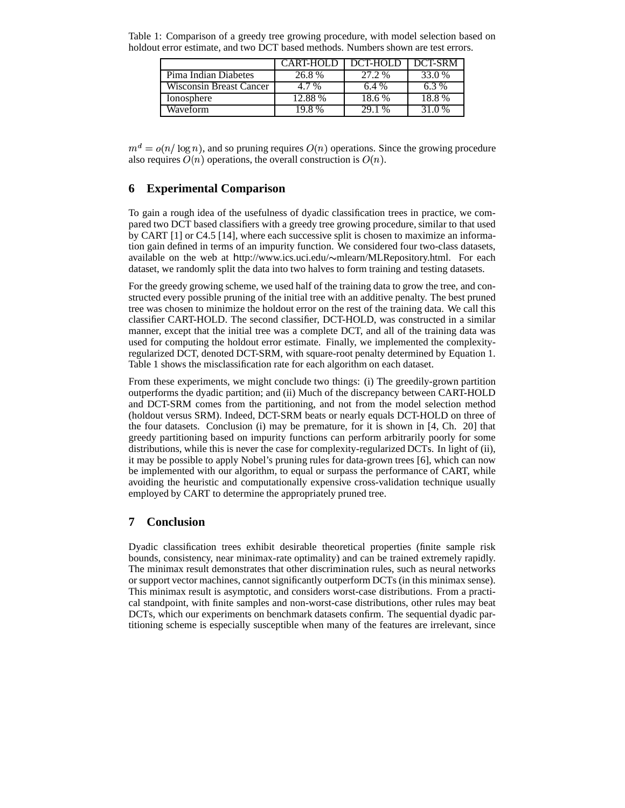| Table 1: Comparison of a greedy tree growing procedure, with model selection based on |  |
|---------------------------------------------------------------------------------------|--|
| holdout error estimate, and two DCT based methods. Numbers shown are test errors.     |  |

|                                | CART-HOLD | DCT-HOLD | DCT-SRM |
|--------------------------------|-----------|----------|---------|
| Pima Indian Diabetes           | 26.8%     | 27.2%    | 33.0 %  |
| <b>Wisconsin Breast Cancer</b> | 4.7%      | 6.4%     | $6.3\%$ |
| Ionosphere                     | 12.88%    | 18.6%    | 18.8%   |
| Waveform                       | 198%      | 29 1 %   | 31 0 %  |

 $m^d = o(n/\log n)$ , and so pruning requires  $O(n)$  operations. Since the growing procedure also requires  $O(n)$  operations, the overall construction is  $O(n)$ .

# **6 Experimental Comparison**

To gain a rough idea of the usefulness of dyadic classification trees in practice, we compared two DCT based classifiers with a greedy tree growing procedure, similar to that used by CART [1] or C4.5 [14], where each successive split is chosen to maximize an information gain defined in terms of an impurity function. We considered four two-class datasets, available on the web at http://www.ics.uci.edu/~mlearn/MLRepository.html. For each dataset, we randomly split the data into two halves to form training and testing datasets.

For the greedy growing scheme, we used half of the training data to grow the tree, and constructed every possible pruning of the initial tree with an additive penalty. The best pruned tree was chosen to minimize the holdout error on the rest of the training data. We call this classifier CART-HOLD. The second classifier, DCT-HOLD, was constructed in a similar manner, except that the initial tree was a complete DCT, and all of the training data was used for computing the holdout error estimate. Finally, we implemented the complexityregularized DCT, denoted DCT-SRM, with square-root penalty determined by Equation 1. Table 1 shows the misclassification rate for each algorithm on each dataset.

From these experiments, we might conclude two things: (i) The greedily-grown partition outperforms the dyadic partition; and (ii) Much of the discrepancy between CART-HOLD and DCT-SRM comes from the partitioning, and not from the model selection method (holdout versus SRM). Indeed, DCT-SRM beats or nearly equals DCT-HOLD on three of the four datasets. Conclusion (i) may be premature, for it is shown in [4, Ch. 20] that greedy partitioning based on impurity functions can perform arbitrarily poorly for some distributions, while this is never the case for complexity-regularized DCTs. In light of (ii), it may be possible to apply Nobel's pruning rules for data-grown trees [6], which can now be implemented with our algorithm, to equal or surpass the performance of CART, while avoiding the heuristic and computationally expensive cross-validation technique usually employed by CART to determine the appropriately pruned tree.

# **7 Conclusion**

Dyadic classification trees exhibit desirable theoretical properties (finite sample risk bounds, consistency, near minimax-rate optimality) and can be trained extremely rapidly. The minimax result demonstrates that other discrimination rules, such as neural networks or support vector machines, cannot significantly outperform DCTs (in this minimax sense). This minimax result is asymptotic, and considers worst-case distributions. From a practical standpoint, with finite samples and non-worst-case distributions, other rules may beat DCTs, which our experiments on benchmark datasets confirm. The sequential dyadic partitioning scheme is especially susceptible when many of the features are irrelevant, since